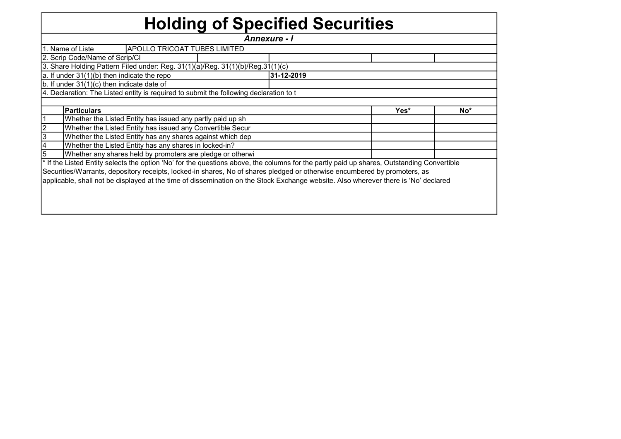## Holding of Specified Securities

|                                                            |                                                                                                                                            |  | <b>Annexure - I</b> |      |     |  |  |  |  |  |  |
|------------------------------------------------------------|--------------------------------------------------------------------------------------------------------------------------------------------|--|---------------------|------|-----|--|--|--|--|--|--|
|                                                            | 1. Name of Liste<br><b>APOLLO TRICOAT TUBES LIMITED</b>                                                                                    |  |                     |      |     |  |  |  |  |  |  |
|                                                            | 2. Scrip Code/Name of Scrip/Cl                                                                                                             |  |                     |      |     |  |  |  |  |  |  |
|                                                            | 3. Share Holding Pattern Filed under: Reg. 31(1)(a)/Reg. 31(1)(b)/Reg.31(1)(c)                                                             |  |                     |      |     |  |  |  |  |  |  |
|                                                            | a. If under 31(1)(b) then indicate the repo                                                                                                |  | 31-12-2019          |      |     |  |  |  |  |  |  |
|                                                            | $ b $ . If under 31(1)(c) then indicate date of                                                                                            |  |                     |      |     |  |  |  |  |  |  |
|                                                            | 4. Declaration: The Listed entity is required to submit the following declaration to t                                                     |  |                     |      |     |  |  |  |  |  |  |
|                                                            |                                                                                                                                            |  |                     |      |     |  |  |  |  |  |  |
|                                                            | <b>Particulars</b>                                                                                                                         |  |                     | Yes* | No* |  |  |  |  |  |  |
| Whether the Listed Entity has issued any partly paid up sh |                                                                                                                                            |  |                     |      |     |  |  |  |  |  |  |
|                                                            | Whether the Listed Entity has issued any Convertible Secur                                                                                 |  |                     |      |     |  |  |  |  |  |  |
| 13                                                         | Whether the Listed Entity has any shares against which dep                                                                                 |  |                     |      |     |  |  |  |  |  |  |
|                                                            | Whether the Listed Entity has any shares in locked-in?                                                                                     |  |                     |      |     |  |  |  |  |  |  |
| 5                                                          | Whether any shares held by promoters are pledge or otherwi                                                                                 |  |                     |      |     |  |  |  |  |  |  |
|                                                            | * If the Listed Entity selects the option 'No' for the questions above, the columns for the partly paid up shares, Outstanding Convertible |  |                     |      |     |  |  |  |  |  |  |
|                                                            | Securities/Warrants, depository receipts, locked-in shares, No of shares pledged or otherwise encumbered by promoters, as                  |  |                     |      |     |  |  |  |  |  |  |
|                                                            | applicable, shall not be displayed at the time of dissemination on the Stock Exchange website. Also wherever there is 'No' declared        |  |                     |      |     |  |  |  |  |  |  |
|                                                            |                                                                                                                                            |  |                     |      |     |  |  |  |  |  |  |
|                                                            |                                                                                                                                            |  |                     |      |     |  |  |  |  |  |  |
|                                                            |                                                                                                                                            |  |                     |      |     |  |  |  |  |  |  |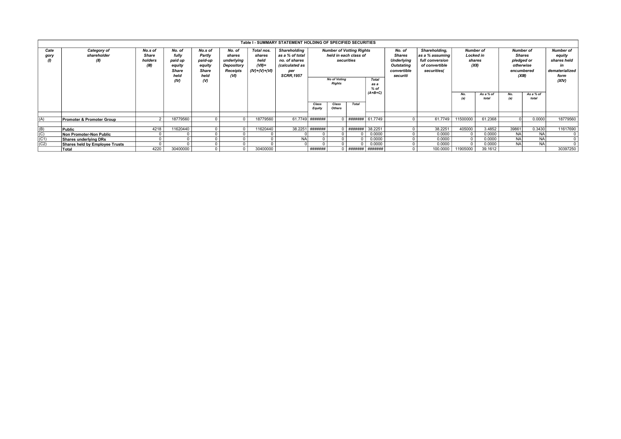|                   | Table I - SUMMARY STATEMENT HOLDING OF SPECIFIED SECURITIES<br><b>Number of</b><br><b>Number of</b> |                                             |                                                                      |                                                                     |                                                                  |                                                            |                                                                                               |                                                    |                        |                                        |                                                                                            |              |          |          |                    |            |                    |                                                                                       |                                                                                      |  |                                     |                      |                                   |                                                                                    |
|-------------------|-----------------------------------------------------------------------------------------------------|---------------------------------------------|----------------------------------------------------------------------|---------------------------------------------------------------------|------------------------------------------------------------------|------------------------------------------------------------|-----------------------------------------------------------------------------------------------|----------------------------------------------------|------------------------|----------------------------------------|--------------------------------------------------------------------------------------------|--------------|----------|----------|--------------------|------------|--------------------|---------------------------------------------------------------------------------------|--------------------------------------------------------------------------------------|--|-------------------------------------|----------------------|-----------------------------------|------------------------------------------------------------------------------------|
| Cate<br>gory      | Category of<br>shareholder<br>(II)                                                                  | No.s of<br><b>Share</b><br>holders<br>(III) | No. of<br>fully<br>paid up<br>equity<br><b>Share</b><br>held<br>(IV) | No.s of<br>Partly<br>paid-up<br>equity<br>Share<br>held<br>$\omega$ | No. of<br>shares<br>underlying<br>Depository<br>Receipts<br>(VI) | Total nos.<br>shares<br>held<br>$(VII)$ =<br>(IV)+(V)+(VI) | Shareholding<br>as a % of total<br>no. of shares<br>(calculated as<br>per<br><b>SCRR.1957</b> | securities<br><b>No of Votina</b><br><b>Rights</b> |                        |                                        | <b>Number of Votting Rights</b><br>held in each class of<br><b>Total</b><br>as a<br>$%$ of |              |          |          |                    |            |                    | No. of<br>Shares<br><b>Underlying</b><br><b>Outstating</b><br>convertible<br>securiti | Shareholding,<br>as a % assuming<br>full conversion<br>of convertible<br>securities( |  | <b>Locked in</b><br>shares<br>(XII) | encumbered<br>(XIII) | Shares<br>pledged or<br>otherwise | <b>Number of</b><br>equity<br>shares held<br>ın<br>dematerialized<br>form<br>(XIV) |
|                   |                                                                                                     |                                             |                                                                      |                                                                     |                                                                  |                                                            |                                                                                               |                                                    |                        | $(A+B+C)$                              |                                                                                            |              |          | No.      | As a % of<br>total | No.<br>(a) | As a % of<br>total |                                                                                       |                                                                                      |  |                                     |                      |                                   |                                                                                    |
|                   |                                                                                                     |                                             |                                                                      |                                                                     |                                                                  |                                                            |                                                                                               | Class<br>Equity                                    | Class<br><b>Others</b> |                                        |                                                                                            |              |          |          |                    |            |                    |                                                                                       |                                                                                      |  |                                     |                      |                                   |                                                                                    |
|                   |                                                                                                     |                                             |                                                                      |                                                                     |                                                                  |                                                            |                                                                                               |                                                    |                        |                                        |                                                                                            |              |          |          |                    |            |                    |                                                                                       |                                                                                      |  |                                     |                      |                                   |                                                                                    |
| (A)               | <b>Promoter &amp; Promoter Group</b>                                                                |                                             | 18779560                                                             |                                                                     |                                                                  | 18779560                                                   | 61.7749                                                                                       | #######                                            |                        | $0$ $\#$ $\#$ $\#$ $\#$ $\#$ $\#$ $\#$ | 61.7749                                                                                    | $\Omega$     | 61.7749  | 11500000 | 61.2368            |            | 0.0000             | 18779560                                                                              |                                                                                      |  |                                     |                      |                                   |                                                                                    |
|                   | Public                                                                                              | 4218                                        | 11620440                                                             |                                                                     |                                                                  | 11620440                                                   | 38.2251                                                                                       | #######                                            |                        | ########                               | 38.2251                                                                                    |              | 38.2251  |          | 3.4852             | 39861      |                    |                                                                                       |                                                                                      |  |                                     |                      |                                   |                                                                                    |
| $\frac{(B)}{(C)}$ |                                                                                                     |                                             |                                                                      |                                                                     |                                                                  |                                                            |                                                                                               |                                                    |                        |                                        |                                                                                            |              |          | 405000   |                    |            | 0.3430             | 11617690                                                                              |                                                                                      |  |                                     |                      |                                   |                                                                                    |
|                   | Non Promoter-Non Public                                                                             |                                             |                                                                      |                                                                     |                                                                  |                                                            |                                                                                               |                                                    |                        |                                        | 0.0000                                                                                     | $\Omega$     | 0.0000   |          | 0.0000             | <b>NA</b>  | <b>NA</b>          |                                                                                       |                                                                                      |  |                                     |                      |                                   |                                                                                    |
| (C1)              | <b>Shares underlying DRs</b>                                                                        |                                             |                                                                      |                                                                     |                                                                  |                                                            | <b>NA</b>                                                                                     |                                                    |                        |                                        | 0.0000                                                                                     | $\Omega$     | 0.0000   | $\Omega$ | 0.0000             | <b>NA</b>  | <b>NA</b>          | $^{\circ}$                                                                            |                                                                                      |  |                                     |                      |                                   |                                                                                    |
| (C2)              | Shares held by Employee Trusts                                                                      |                                             |                                                                      |                                                                     |                                                                  |                                                            |                                                                                               |                                                    |                        |                                        | 0.0000                                                                                     | $\Omega$     | 0.0000   |          | 0.0000             | <b>NA</b>  | <b>NA</b>          | $\Omega$                                                                              |                                                                                      |  |                                     |                      |                                   |                                                                                    |
|                   | Total                                                                                               | 4220                                        | 30400000                                                             |                                                                     |                                                                  | 30400000                                                   |                                                                                               | #######                                            |                        |                                        |                                                                                            | $\mathbf{0}$ | 100.0000 | 11905000 | 39.1612            |            |                    | 30397250                                                                              |                                                                                      |  |                                     |                      |                                   |                                                                                    |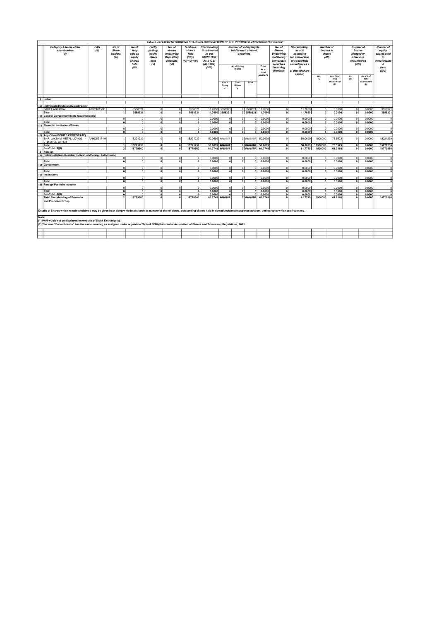|                | Table II - STATEMENT SHOWING SHAREHOLDING PATTERN OF THE PROMOTER AND PROMOTER GROUP<br>Category & Name of the<br>PAN<br>No of<br>No of<br>Partly<br>No. of<br>Total nos.<br><b>Shareholding</b><br><b>Number of Voting Rights</b><br>No. of<br>Shareholding,<br><b>Number of</b><br>Number of |            |                            |                                                     |                                                |                                                        |                                                |                                                                       |                                 |                                     |                                                  |                                                                               |                                                                                      |                                     |                                  |                                                                  |                                    |                                                                       |                      |
|----------------|------------------------------------------------------------------------------------------------------------------------------------------------------------------------------------------------------------------------------------------------------------------------------------------------|------------|----------------------------|-----------------------------------------------------|------------------------------------------------|--------------------------------------------------------|------------------------------------------------|-----------------------------------------------------------------------|---------------------------------|-------------------------------------|--------------------------------------------------|-------------------------------------------------------------------------------|--------------------------------------------------------------------------------------|-------------------------------------|----------------------------------|------------------------------------------------------------------|------------------------------------|-----------------------------------------------------------------------|----------------------|
|                | shareholders<br>(1)                                                                                                                                                                                                                                                                            | (11)       | Share<br>holders<br>(III)  | fully<br>paid up<br>equity<br><b>Shares</b><br>held | paid-up<br>equity<br>Share<br>held<br>$\omega$ | shares<br>underlying<br>Depository<br>Receipts<br>(VI) | shares<br>held<br>$(VII) =$<br>$(IV)+(V)+(VI)$ | % calculated<br>as per<br><b>SCRR.1957</b><br>As a % of<br>$(A+B+C2)$ |                                 | held in each class of<br>securities |                                                  | <b>Shares</b><br><b>Underlying</b><br>Outstating<br>convertible<br>securities | as a $%$<br>assuming<br><b>full conversion</b><br>of convertible<br>securities (as a | <b>Locked</b> in<br>shares<br>(XII) |                                  | <b>Shares</b><br>pledged or<br>otherwise<br>encumbered<br>(XIII) |                                    | <b>Number of</b><br>equity<br>shares held<br>in<br>dematerialize<br>d |                      |
|                |                                                                                                                                                                                                                                                                                                |            |                            | (IV)                                                |                                                |                                                        |                                                | (VIII)                                                                |                                 | No of Votina<br><b>Rights</b>       |                                                  | Total<br>as a<br>% of<br>$(A+B+C)$                                            | (including<br>Warrants                                                               | %<br>of diluted share<br>capital)   | No.<br>(a)                       | As a % of<br>total                                               | No.<br>(a)                         | As a % of<br>total                                                    | form<br>(XIV)        |
|                |                                                                                                                                                                                                                                                                                                |            |                            |                                                     |                                                |                                                        |                                                |                                                                       | Class<br>Equity<br>$\mathbf{r}$ | Class<br>Others<br>×                | Total                                            |                                                                               |                                                                                      |                                     |                                  | shares held<br>(b)                                               |                                    | shares held<br>(b)                                                    |                      |
|                | 1 Indian                                                                                                                                                                                                                                                                                       |            |                            |                                                     |                                                |                                                        |                                                |                                                                       |                                 |                                     |                                                  |                                                                               |                                                                                      |                                     |                                  |                                                                  |                                    |                                                                       |                      |
|                |                                                                                                                                                                                                                                                                                                |            |                            |                                                     |                                                |                                                        |                                                |                                                                       |                                 |                                     |                                                  |                                                                               |                                                                                      |                                     |                                  |                                                                  |                                    |                                                                       |                      |
|                | (a) Individuals/Hindu undivided Family<br>SAKET AGRAWAL                                                                                                                                                                                                                                        | ABXPA8150D |                            | 3558321                                             | $\circ$                                        | $\Omega$                                               | 3558321                                        | 11,7050                                                               | 3558321                         |                                     | 0 3558321                                        | 11,7050                                                                       | $\Omega$                                                                             | 11,7050                             | $\Omega$                         | 0.0000                                                           | $\circ$                            | 0.0000                                                                | 3558321              |
|                | Total                                                                                                                                                                                                                                                                                          |            | -11                        | 3558321                                             | ol                                             | $\circ$                                                | 3558321                                        |                                                                       | 11.7050 3558321                 |                                     | 0 3558321 11,7050                                |                                                                               | $\circ$                                                                              | 11.7050                             | 0                                | 0.0000                                                           | - ol                               | 0.0000                                                                | 3558321              |
|                | (b) Central Government/State Government(s)                                                                                                                                                                                                                                                     |            |                            |                                                     |                                                |                                                        |                                                |                                                                       |                                 |                                     |                                                  |                                                                               |                                                                                      |                                     |                                  |                                                                  |                                    |                                                                       |                      |
|                |                                                                                                                                                                                                                                                                                                |            | $\Omega$<br>$\overline{a}$ | $\Omega$<br>$\overline{0}$                          | $\Omega$<br>ᅁ                                  | $\Omega$<br>ᇬ                                          | ΩI<br>न                                        | 0.0000<br>0.0000                                                      | $\Omega$<br>$\overline{ }$      | n<br>$\mathbf{r}$                   | $\Omega$<br>न                                    | 0.0000<br>0.0000                                                              | $\Omega$<br>$\overline{\mathfrak{o}}$                                                | 0.0000<br>0.0000                    | $\circ$<br>ᇬ                     | 0.0000<br>0.0000                                                 | $\Omega$<br>ᇬ                      | 0.0000<br>0.0000                                                      | $\Omega$<br>$\Omega$ |
|                | Total<br>(c) Financial Institutions/Banks                                                                                                                                                                                                                                                      |            |                            |                                                     |                                                |                                                        |                                                |                                                                       |                                 |                                     |                                                  |                                                                               |                                                                                      |                                     |                                  |                                                                  |                                    |                                                                       |                      |
|                |                                                                                                                                                                                                                                                                                                |            | $\Omega$                   | $\circ$                                             | $\circ$                                        | $\overline{0}$                                         | 0                                              | 0.0000                                                                | $\circ$                         | $\overline{0}$                      | ٨l                                               | 0.0000                                                                        | $\Omega$                                                                             | 0.0000                              | $\circ$                          | 0.0000                                                           | $\circ$                            | 0.0000                                                                | $\Omega$             |
|                | Total                                                                                                                                                                                                                                                                                          |            | $\Omega$                   | $\Omega$                                            | 0                                              | $\circ$                                                | 0                                              | 0.0000                                                                | $\mathbf{0}$                    | $\Omega$                            | 0                                                | 0.0000                                                                        | $\circ$                                                                              | 0.0000                              | $\Omega$                         | 0.0000                                                           | ol                                 | 0.0000                                                                | $\Omega$             |
|                | (d) Any Other(BODIES CORPORATE)                                                                                                                                                                                                                                                                |            |                            |                                                     |                                                |                                                        |                                                |                                                                       |                                 |                                     |                                                  |                                                                               |                                                                                      |                                     |                                  |                                                                  |                                    |                                                                       |                      |
|                | SHRI LAKSHMI METAL UDYOG<br>LTD-OPEN OFFER                                                                                                                                                                                                                                                     | AAHCS9174M |                            | 15221239                                            | ᅁ                                              | $\overline{0}$                                         | 15221239                                       |                                                                       | 50.0699 #######                 |                                     | $01$ #######                                     | 50,0699                                                                       | $\Omega$                                                                             | 50.0699                             | 11500000                         | 75.5523                                                          | $\overline{0}$                     | 0.0000                                                                | 15221239             |
|                | Total                                                                                                                                                                                                                                                                                          |            | $\blacktriangleleft$       | 15221239                                            | $\overline{\mathbf{0}}$                        | $\mathbf{0}$                                           | 15221239                                       |                                                                       | 50.0699 #######                 |                                     | $0$ $+$ $+$ $+$ $+$ $+$ $+$<br>0 ####### 61.7749 | 50,0699                                                                       | $\overline{0}$                                                                       | 50.0699                             | 11500000                         | 75.5523                                                          | $\Omega$<br>$\Omega$               | 0.0000                                                                | 15221239             |
| $\overline{2}$ | Sub-Total (A)(1)<br>Foreign                                                                                                                                                                                                                                                                    |            | 2 <sup>1</sup>             | 18779560                                            | $\circ$                                        | $\overline{0}$                                         | 18779560                                       |                                                                       | 61.7749 #######                 |                                     |                                                  |                                                                               | $\overline{0}$                                                                       |                                     | 61.7749 11500000                 | 61.2368                                                          |                                    | 0.0000                                                                | 18779560             |
|                | (a) Individuals (Non-Resident Individuals/Foreign Individuals)                                                                                                                                                                                                                                 |            |                            |                                                     |                                                |                                                        |                                                |                                                                       |                                 |                                     |                                                  |                                                                               |                                                                                      |                                     |                                  |                                                                  |                                    |                                                                       |                      |
|                |                                                                                                                                                                                                                                                                                                |            | $\overline{0}$             | $\overline{0}$                                      | $\overline{0}$                                 | $\overline{0}$                                         | $\overline{\mathfrak{o}}$                      | 0.0000                                                                | $\mathbf{0}$                    | O                                   | οI                                               | 0.0000                                                                        | $\overline{0}$                                                                       | 0.0000                              | $\overline{0}$                   | 0.0000                                                           | $\overline{0}$                     | 0.0000                                                                | $\Omega$             |
|                | Total                                                                                                                                                                                                                                                                                          |            | $\Omega$                   | $\Omega$                                            | $\overline{0}$                                 | $\overline{0}$                                         | $\overline{0}$                                 | 0.0000                                                                | $\overline{0}$                  | $\Omega$                            | ΩI                                               | 0.0000                                                                        | $\Omega$                                                                             | 0.0000                              | $\overline{0}$                   | 0.0000                                                           | $\overline{0}$                     | 0.0000                                                                | $\Omega$             |
|                | (b) Government                                                                                                                                                                                                                                                                                 |            | $\Omega$                   | $\Omega$                                            | $\Omega$                                       | $\overline{0}$                                         | $\overline{0}$                                 | 0.0000                                                                |                                 | $\Omega$                            |                                                  | 0   0.0000                                                                    | $\Omega$                                                                             | 0.0000                              |                                  | 0.0000                                                           |                                    | 0.0000                                                                | $\Omega$             |
|                | Total                                                                                                                                                                                                                                                                                          |            | 0                          | $\mathbf{0}$                                        | $\overline{\mathbf{0}}$                        | $\overline{0}$                                         | 0                                              | 0.0000                                                                | $\circ$<br>$\mathbf{0}$         | 0                                   |                                                  | 0   0.0000                                                                    | $\circ$                                                                              | 0.0000                              | $\circ$<br>0                     | 0.0000                                                           | $\circ$<br>$\overline{\mathbf{0}}$ | 0.0000                                                                | $\mathbf{0}$         |
|                | (c) Institutions                                                                                                                                                                                                                                                                               |            |                            |                                                     |                                                |                                                        |                                                |                                                                       |                                 |                                     |                                                  |                                                                               |                                                                                      |                                     |                                  |                                                                  |                                    |                                                                       |                      |
|                |                                                                                                                                                                                                                                                                                                |            | $\Omega$                   | $\Omega$                                            | -ol                                            | $\circ$                                                | 0                                              | 0.0000                                                                | $\circ$                         | n                                   |                                                  | 0   0.0000                                                                    | $\Omega$                                                                             | 0.0000                              | 0                                | 0.0000                                                           | $\circ$                            | 0.0000                                                                | $\Omega$             |
|                | Total                                                                                                                                                                                                                                                                                          |            | $\Omega$                   | $\mathbf{0}$                                        | $\overline{\mathfrak{o}}$                      | ᇬ                                                      | $\overline{\mathfrak{o}}$                      | 0.0000                                                                | $\overline{\mathbf{0}}$         | $\Omega$                            |                                                  | 0 0.0000                                                                      | $\mathbf 0$                                                                          | 0.0000                              | ᇬ                                | 0.0000                                                           | ᅙ                                  | 0.0000                                                                | $\Omega$             |
|                | (d) Foreign Portfolio Investor                                                                                                                                                                                                                                                                 |            |                            |                                                     |                                                |                                                        |                                                |                                                                       |                                 |                                     |                                                  |                                                                               |                                                                                      |                                     |                                  |                                                                  |                                    |                                                                       |                      |
|                | Total                                                                                                                                                                                                                                                                                          |            | $\overline{0}$<br>$\Omega$ | $\overline{0}$<br>$\Omega$                          | $\overline{0}$<br> 0                           | $\overline{0}$<br>$\overline{0}$                       | $\overline{0}$<br>$\mathfrak{o}$               | 0.0000<br>0.0000                                                      | $\overline{0}$<br>$\mathbf{0}$  | $\overline{0}$<br>$\mathbf{0}$      | $\Omega$<br>0                                    | 0.0000<br>0.0000                                                              | $\overline{0}$<br>$\Omega$                                                           | 0.0000<br>0.0000                    | $\overline{0}$<br>$\mathfrak{o}$ | 0.0000<br>0.0000                                                 | $\overline{0}$<br>$\circ$          | 0.0000<br>0.0000                                                      | $\Omega$<br>$\Omega$ |
|                | Sub-Total (A)(2)                                                                                                                                                                                                                                                                               |            | $\Omega$                   | $\mathbf{a}$                                        | $\Omega$                                       | $\Omega$                                               | $\mathbf{0}$                                   | 0.0000                                                                | $\Omega$                        |                                     |                                                  | 0.0000                                                                        | $\Omega$                                                                             | 0.0000                              | $\Omega$                         | 0.0000                                                           | $\mathbf{0}$                       | 0.0000                                                                |                      |
|                | <b>Total Shareholding of Promoter</b><br>and Promoter Group                                                                                                                                                                                                                                    |            | $\overline{\phantom{a}}$   | 18779560                                            | $\mathbf{r}$                                   | $\Omega$                                               | 18779560                                       |                                                                       | 61.7749 #######                 | n                                   | #######                                          | 61,7749                                                                       | $\mathbf{0}$                                                                         | 61.7749                             | 11500000                         | 61.2368                                                          | $\Omega$                           | 0.0000                                                                | 18779560             |
|                | Details of Shares which remain unclaimed may be given hear along with details such as number of shareholders, outstanding shares held in demat/unclaimed suspense account, voting rights which are frozen etc.                                                                                 |            |                            |                                                     |                                                |                                                        |                                                |                                                                       |                                 |                                     |                                                  |                                                                               |                                                                                      |                                     |                                  |                                                                  |                                    |                                                                       |                      |
| Note:          |                                                                                                                                                                                                                                                                                                |            |                            |                                                     |                                                |                                                        |                                                |                                                                       |                                 |                                     |                                                  |                                                                               |                                                                                      |                                     |                                  |                                                                  |                                    |                                                                       |                      |
|                | (1) PAN would not be displayed on website of Stock Exchange(s).<br>(2) The term "Encumbrance" has the same meaning as assigned under regulation 28(3) of SEBI (Substantial Acquisition of Shares and Takeovers) Regulations, 2011.                                                             |            |                            |                                                     |                                                |                                                        |                                                |                                                                       |                                 |                                     |                                                  |                                                                               |                                                                                      |                                     |                                  |                                                                  |                                    |                                                                       |                      |
|                |                                                                                                                                                                                                                                                                                                |            |                            |                                                     |                                                |                                                        |                                                |                                                                       |                                 |                                     |                                                  |                                                                               |                                                                                      |                                     |                                  |                                                                  |                                    |                                                                       |                      |
|                |                                                                                                                                                                                                                                                                                                |            |                            |                                                     |                                                |                                                        |                                                |                                                                       |                                 |                                     |                                                  |                                                                               |                                                                                      |                                     |                                  |                                                                  |                                    |                                                                       |                      |
|                |                                                                                                                                                                                                                                                                                                |            |                            |                                                     |                                                |                                                        |                                                |                                                                       |                                 |                                     |                                                  |                                                                               |                                                                                      |                                     |                                  |                                                                  |                                    |                                                                       |                      |
|                |                                                                                                                                                                                                                                                                                                |            |                            |                                                     |                                                |                                                        |                                                |                                                                       |                                 |                                     |                                                  |                                                                               |                                                                                      |                                     |                                  |                                                                  |                                    |                                                                       |                      |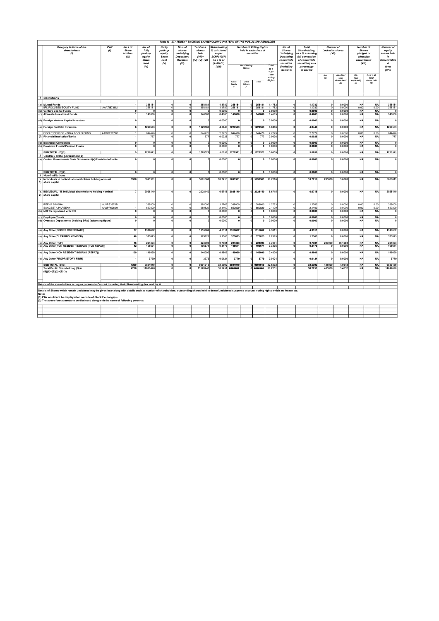|              |                                                                                                                                                                                                                |                    |                                      |                     |                                                          |                                                                   | Table III - STATEMENT SHOWING SHAREHOLDING PATTERN OF THE PUBLIC SHAREHOLDER |                                                                                                 |                    |                                                                         |                                                         |                                  |                                                                                         |                                                                                                    |                 |                                               |                                                                               |                                          |                                                                       |
|--------------|----------------------------------------------------------------------------------------------------------------------------------------------------------------------------------------------------------------|--------------------|--------------------------------------|---------------------|----------------------------------------------------------|-------------------------------------------------------------------|------------------------------------------------------------------------------|-------------------------------------------------------------------------------------------------|--------------------|-------------------------------------------------------------------------|---------------------------------------------------------|----------------------------------|-----------------------------------------------------------------------------------------|----------------------------------------------------------------------------------------------------|-----------------|-----------------------------------------------|-------------------------------------------------------------------------------|------------------------------------------|-----------------------------------------------------------------------|
|              | Category & Name of the<br>shareholders<br>$\omega$                                                                                                                                                             | <b>PAN</b><br>(II) | No.s of<br>Share<br>holders<br>(III) |                     | Partly<br>paid-up<br>equity<br>Share<br>held<br>$\omega$ | No.s of<br>shares<br>underlying<br>Depository<br>Receipts<br>(VI) | Total nos<br>shares<br>held<br>$(VII)$ =<br>$(IV)+(V)+(VI)$                  | Shareholding<br>% calculated<br>as ner<br><b>SCRR, 1957)</b><br>As B <sub>0</sub><br>$(A+B+C2)$ |                    | securities<br>No of Voting                                              | <b>Number of Voting Rights</b><br>held in each class of | Total                            | No. of<br><b>Shares</b><br><b>Underlying</b><br>Outstating<br>convertible<br>securities | Total<br>Shareholding,<br>as a % assuming<br>full conversion<br>of convertible<br>securities( as a |                 | Number of<br><b>Locked in shares</b><br>(XII) | Number of<br><b>Shares</b><br>pledged or<br>otherwise<br>encumbered<br>(XIII) |                                          | <b>Number of</b><br>equity<br>shares held<br>in<br>dematerialize<br>d |
|              |                                                                                                                                                                                                                |                    |                                      | (IV)                |                                                          |                                                                   |                                                                              | (VIII)                                                                                          |                    | <i><b>(including</b></i><br>Rights<br>$\texttt{as}$<br>Warrants<br>% of |                                                         |                                  |                                                                                         | percentage<br>of diluted                                                                           |                 |                                               |                                                                               |                                          | form<br>(XIV)                                                         |
|              |                                                                                                                                                                                                                |                    |                                      |                     |                                                          |                                                                   |                                                                              |                                                                                                 | Class              | Class<br>Others                                                         | Total                                                   | Total<br>Voting<br><b>Rights</b> |                                                                                         |                                                                                                    | <b>No</b>       | As a % of<br>total<br>shares held<br>(b)      | No.<br>(Not<br>applicable)<br>(a)                                             | As a % of<br>total<br>shares held<br>(b) |                                                                       |
|              |                                                                                                                                                                                                                |                    |                                      |                     |                                                          |                                                                   |                                                                              |                                                                                                 | Equity             |                                                                         |                                                         |                                  |                                                                                         |                                                                                                    |                 |                                               |                                                                               |                                          |                                                                       |
|              | 1 Institutions                                                                                                                                                                                                 |                    |                                      |                     |                                                          |                                                                   |                                                                              |                                                                                                 |                    |                                                                         |                                                         |                                  |                                                                                         |                                                                                                    |                 |                                               |                                                                               |                                          |                                                                       |
|              |                                                                                                                                                                                                                |                    |                                      | 358181              |                                                          |                                                                   | 358181                                                                       | 1.1782                                                                                          | 358181             | $\mathbf{r}$                                                            | 358181                                                  | 1.1782                           |                                                                                         | 1.1782                                                                                             |                 | 0.0000                                        | <b>NA</b>                                                                     | <b>NA</b>                                | 358181                                                                |
|              | (a) Mutual Funds<br><b>IFL FOCUSED EQUITY FUND</b>                                                                                                                                                             | AAATI8736M         |                                      | 35818               |                                                          |                                                                   | 358181                                                                       | 1.1782                                                                                          | 35818              |                                                                         | 35818                                                   | 1.1782                           |                                                                                         | 1.178                                                                                              |                 | 0.0000                                        | 0.00                                                                          | 0.00                                     | 358181                                                                |
|              | (b) Venture Capital Funds<br>(c) Alternate Investment Funds                                                                                                                                                    |                    |                                      | 140000              |                                                          |                                                                   | 140000                                                                       | 0.0000<br>0.4605                                                                                | 140000             |                                                                         | 140000                                                  | 0.0000<br>0.4605                 |                                                                                         | 0.0000<br>0.4605                                                                                   |                 | 0.0000<br>0.0000                              | <b>NA</b><br><b>NA</b>                                                        | <u>NA</u><br><b>NA</b>                   | 140000                                                                |
|              | (d) Foreign Venture Capital Investors                                                                                                                                                                          |                    | $\Omega$                             |                     | n                                                        | $\Omega$                                                          | n                                                                            | 0.0000                                                                                          | $\Omega$           | $\mathbf{r}$                                                            |                                                         | 0.0000                           | $\Omega$                                                                                | 0.0000                                                                                             |                 | 0.0000                                        | <b>NA</b>                                                                     | <b>NA</b>                                | $\mathbf{0}$                                                          |
|              | (e) Foreign Portfolio Investors<br>FIDELITY FUNDS - INDIA FOCUS FUND                                                                                                                                           | AADCF2079C         |                                      | 1229563<br>844476   | n                                                        | O                                                                 | 1229563<br>844476                                                            | 4.0446<br>2.7779                                                                                | 1229563<br>844476  | Ω                                                                       | 0 1229563<br>844476                                     | 4.0446<br>2.7779                 | $\Omega$                                                                                | 4.0446<br>2.7779                                                                                   |                 | 0.0000<br>0.0000                              | <b>NA</b><br>0.00                                                             | <b>NA</b><br>0.00                        | 1229563<br>844476                                                     |
| (f)          | <b>Financial Institution/Banks</b>                                                                                                                                                                             |                    |                                      | 777                 |                                                          |                                                                   | 777                                                                          | 0.0026                                                                                          | 777                |                                                                         | 777                                                     | 0.0026                           |                                                                                         | 0.0026                                                                                             |                 | 0.0000                                        | <b>NA</b>                                                                     | <b>NA</b>                                | 777                                                                   |
|              | (a) Insurance Companies                                                                                                                                                                                        |                    |                                      |                     |                                                          |                                                                   |                                                                              | 0.0000                                                                                          |                    | $\Omega$                                                                |                                                         | 0.0000                           |                                                                                         | 0.0000                                                                                             |                 | 0.0000                                        | <b>NA</b>                                                                     | <b>NA</b>                                | $\mathbf{0}$                                                          |
| (h)          | <b>Provident Funds/ Pension Funds</b>                                                                                                                                                                          |                    |                                      |                     |                                                          |                                                                   |                                                                              | 0.0000                                                                                          |                    |                                                                         |                                                         | 0.0000                           |                                                                                         | 0.0000                                                                                             |                 | 0.0000                                        | <b>NA</b>                                                                     | <b>NA</b>                                | $\Omega$                                                              |
|              | SUB TOTAL (B)(1)                                                                                                                                                                                               |                    | 9 <sup>1</sup>                       | 1728521             |                                                          | $\mathfrak{o}$                                                    | 1728521                                                                      |                                                                                                 | 5.6859 1728521     |                                                                         | $0$ 1728521                                             | 5.6859                           | $\mathbf{0}$                                                                            | 5.6859                                                                                             |                 | 0.0000                                        | <b>NA</b>                                                                     | <b>NA</b>                                | 1728521                                                               |
|              | 2 Central / State government(s)<br>(a) Central Government/ State Government(s)/President of India                                                                                                              |                    | $\Omega$                             | $\Omega$            | n                                                        |                                                                   | o                                                                            | 0.0000                                                                                          |                    | $\Omega$                                                                | n                                                       | 0.0000                           | $\Omega$                                                                                | 0.0000                                                                                             |                 | 0.0000                                        | <b>NA</b>                                                                     | <b>NA</b>                                | $\Omega$                                                              |
|              |                                                                                                                                                                                                                |                    |                                      |                     |                                                          |                                                                   |                                                                              |                                                                                                 |                    |                                                                         |                                                         |                                  |                                                                                         |                                                                                                    |                 |                                               |                                                                               |                                          |                                                                       |
|              | SUB TOTAL (B)(2)                                                                                                                                                                                               |                    | $\overline{0}$                       | $\overline{0}$      | 0                                                        | $\overline{0}$                                                    | $\Omega$                                                                     | 0.0000                                                                                          | $\overline{0}$     | $\overline{\bullet}$                                                    | $\overline{0}$                                          | 0.0000                           | $\overline{0}$                                                                          | 0.0000                                                                                             | $\mathbf 0$     | 0.0000                                        | <b>NA</b>                                                                     | <b>NA</b>                                |                                                                       |
|              | 3 Non-institutions<br>(a. Individuals - i. Individual shareholders holding nominal                                                                                                                             |                    | 3918                                 | 5691361             | n                                                        | $\mathbf{a}$                                                      | 5691361                                                                      |                                                                                                 | 18.7216 5691361    |                                                                         | $0$ 5691361                                             | 18.7216                          | $\sqrt{2}$                                                                              | 18.7216                                                                                            | 205000          | 3.6020                                        | <b>NA</b>                                                                     | <b>NA</b>                                | 5688611                                                               |
|              | 1) share capital                                                                                                                                                                                               |                    |                                      |                     |                                                          |                                                                   |                                                                              |                                                                                                 |                    |                                                                         |                                                         |                                  |                                                                                         |                                                                                                    |                 |                                               |                                                                               |                                          |                                                                       |
| $\mathbf{2}$ | (a.   INDIVIDUAL - ii. Individual shareholders holding nominal<br>share capital                                                                                                                                |                    |                                      | 2028140             |                                                          |                                                                   | 2028140                                                                      |                                                                                                 | 6.6715 2028140     |                                                                         | 0 2028140                                               | 6.6715                           |                                                                                         | 6.6715                                                                                             |                 | 0.0000                                        | <b>NA</b>                                                                     | <b>NA</b>                                | 2028140                                                               |
|              | <b>REENA SINGHAL</b>                                                                                                                                                                                           | AJVPS3370B         |                                      | 388000              |                                                          | $\Omega$                                                          | 388000                                                                       | 1.2763                                                                                          | 388000             | $\Omega$<br>$\Omega$                                                    | 388000                                                  | 1.276                            |                                                                                         | 1.2763                                                                                             |                 | 0.0000                                        | 0.00                                                                          | 0.00                                     | 388000                                                                |
|              | <b>SANGEETA PAREEKH</b><br>(b) NBFCs registered with RBI                                                                                                                                                       | AASPP5260H         | $\Omega$                             | 650829<br>$\Omega$  |                                                          | $\mathbf{0}$                                                      | 650829<br>O                                                                  | 2.1409<br>0.0000                                                                                | 650829<br>$\Omega$ | O                                                                       | 650829<br>o                                             | 2.1409<br>0.0000                 | $\Omega$                                                                                | 2.140<br>0.0000                                                                                    |                 | 0.0000<br>0.0000                              | 0.00<br><b>NA</b>                                                             | 0.00<br><b>NA</b>                        | 650829<br>$\mathbf{0}$                                                |
|              | (c) Employee Trusts                                                                                                                                                                                            |                    |                                      |                     |                                                          |                                                                   |                                                                              | 0.0000                                                                                          |                    |                                                                         |                                                         | 0.0000                           |                                                                                         | 0.0000                                                                                             |                 | 0.0000                                        | <b>NA</b>                                                                     | <b>NA</b>                                | $\mathbf{0}$                                                          |
|              | (d) Overseas Depositories (holding DRs) (balancing figure)                                                                                                                                                     |                    |                                      |                     |                                                          |                                                                   | n                                                                            | 0.0000                                                                                          |                    | n                                                                       | n                                                       | 0.0000                           |                                                                                         | 0.0000                                                                                             |                 | 0.0000                                        | <b>NA</b>                                                                     | <b>NA</b>                                | $\Omega$                                                              |
|              | (e) Any Other(BODIES CORPORATE)                                                                                                                                                                                |                    | 77                                   | 1316662             | n                                                        | $\Omega$                                                          | 1316662                                                                      | 4.3311                                                                                          | 1316662            |                                                                         | 0 1316662                                               | 4.3311                           | $\Omega$                                                                                | 4.331                                                                                              |                 | 0.0000                                        | <b>NA</b>                                                                     | <b>NA</b>                                | 1316662                                                               |
|              | (e) Any Other(CLEARING MEMBER)                                                                                                                                                                                 |                    | 48                                   | 375823              |                                                          | $\mathbf{a}$                                                      | 375823                                                                       | 1.2363                                                                                          | 375823             | n                                                                       | 375823                                                  | 1.2363                           | $\sqrt{2}$                                                                              | 1.2363                                                                                             |                 | 0.0000                                        | <b>NA</b>                                                                     | <b>NA</b>                                | 375823                                                                |
|              | (e) Any Other(HUF)<br>(e) Any Other(NON RESIDENT INDIANS (NON REPAT))                                                                                                                                          |                    | 16<br>42                             | 224393<br>105671    |                                                          | O                                                                 | 224393<br>105671                                                             | 0.7381<br>0.3476                                                                                | 224393<br>105671   | O                                                                       | 224393<br>10567                                         | 0.7381<br>0.3476                 |                                                                                         | 0.7381<br>0.3476                                                                                   | 200000          | 89.1293<br>0.0000                             | <b>NA</b><br><b>NA</b>                                                        | <b>NA</b><br><b>NA</b>                   | 224393<br>105671                                                      |
|              | (e) Any Other(NON RESIDENT INDIANS (REPAT))                                                                                                                                                                    |                    | 100                                  | 146090              |                                                          |                                                                   | 146090                                                                       | 0.4806                                                                                          | 146090             | $\Omega$                                                                | 146090                                                  | 0.4806                           | $\mathbf{0}$                                                                            | 0.4806                                                                                             |                 | 0.0000                                        | <b>NA</b>                                                                     | <b>NA</b>                                | 146090                                                                |
|              | (e) Any Other(PROPRIETORY FIRM)                                                                                                                                                                                |                    |                                      | 3779                | n                                                        | O                                                                 | 3779                                                                         | 0.0124                                                                                          | 3779               | $\Omega$                                                                | 3779                                                    | 0.0124                           | $\Omega$                                                                                | 0.0124                                                                                             |                 | 0.0000                                        | <b>NA</b>                                                                     | <b>NA</b>                                | 3779                                                                  |
|              | SUB TOTAL (B)(3)<br>Total Public Shareholding (B) =                                                                                                                                                            |                    | 4209<br>4218                         | 9891919<br>11620440 |                                                          |                                                                   | 9891919<br>11620440                                                          | 32.5392<br>38.2251                                                                              | 9891919<br>######  |                                                                         | 0 9891919<br>#######                                    | 32.5392<br>38.2251               |                                                                                         | 32.5392<br>38.2251                                                                                 | 40500<br>405000 | 4.0943<br>3.4852                              | <b>NA</b><br><b>NA</b>                                                        | <b>NA</b><br><b>NA</b>                   | 9889169<br>11617690                                                   |
|              | $(B)(1)+(B)(2)+(B)(3)$                                                                                                                                                                                         |                    |                                      |                     |                                                          |                                                                   |                                                                              |                                                                                                 |                    |                                                                         |                                                         |                                  |                                                                                         |                                                                                                    |                 |                                               |                                                                               |                                          |                                                                       |
|              | Details of the shareholders acting as persons in Concert including their Shareholding (No. and %): 0                                                                                                           |                    |                                      |                     |                                                          |                                                                   |                                                                              |                                                                                                 |                    |                                                                         |                                                         |                                  |                                                                                         |                                                                                                    |                 |                                               |                                                                               |                                          |                                                                       |
|              | Details of Shares which remain unclaimed may be given hear along with details such as number of shareholders, outstanding shares held in demat/unclaimed suspense account, voting rights which are frozen etc. |                    |                                      |                     |                                                          |                                                                   |                                                                              |                                                                                                 |                    |                                                                         |                                                         |                                  |                                                                                         |                                                                                                    |                 |                                               |                                                                               |                                          |                                                                       |
| Note:        | (1) PAN would not be displayed on website of Stock Exchange(s).<br>(2) The above format needs to be disclosed along with the name of following persons:                                                        |                    |                                      |                     |                                                          |                                                                   |                                                                              |                                                                                                 |                    |                                                                         |                                                         |                                  |                                                                                         |                                                                                                    |                 |                                               |                                                                               |                                          |                                                                       |
|              |                                                                                                                                                                                                                |                    |                                      |                     |                                                          |                                                                   |                                                                              |                                                                                                 |                    |                                                                         |                                                         |                                  |                                                                                         |                                                                                                    |                 |                                               |                                                                               |                                          |                                                                       |
|              |                                                                                                                                                                                                                |                    |                                      |                     |                                                          |                                                                   |                                                                              |                                                                                                 |                    |                                                                         |                                                         |                                  |                                                                                         |                                                                                                    |                 |                                               |                                                                               |                                          |                                                                       |
|              |                                                                                                                                                                                                                |                    |                                      |                     |                                                          |                                                                   |                                                                              |                                                                                                 |                    |                                                                         |                                                         |                                  |                                                                                         |                                                                                                    |                 |                                               |                                                                               |                                          |                                                                       |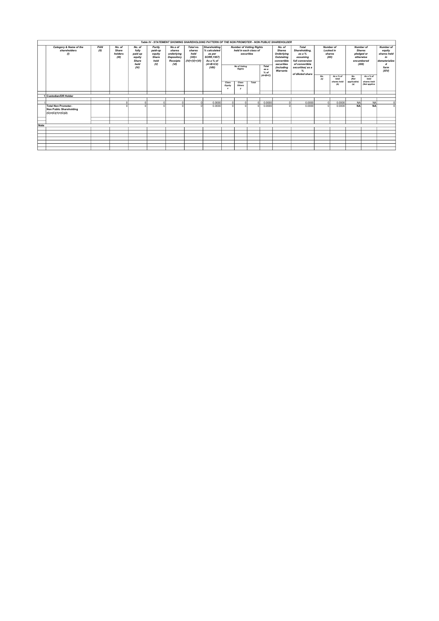|      |                                                                                     |      |                           |                                                            |                                           |                                                               |                                               | Table IV - STATEMENT SHOWING SHAREHOLDING PATTERN OF THE NON PROMOTER - NON PUBLIC SHAREHOLDER |                                                                                        |                                 |          |           |          |                  |            |                                          |                                   |                                                                                                                     |              |                                                                                                                                      |  |                                                                  |  |                                                                    |
|------|-------------------------------------------------------------------------------------|------|---------------------------|------------------------------------------------------------|-------------------------------------------|---------------------------------------------------------------|-----------------------------------------------|------------------------------------------------------------------------------------------------|----------------------------------------------------------------------------------------|---------------------------------|----------|-----------|----------|------------------|------------|------------------------------------------|-----------------------------------|---------------------------------------------------------------------------------------------------------------------|--------------|--------------------------------------------------------------------------------------------------------------------------------------|--|------------------------------------------------------------------|--|--------------------------------------------------------------------|
|      | Category & Name of the                                                              | PAN  | No. of                    | No. of                                                     | Partly                                    | No.s of                                                       | Total no.                                     | <b>Shareholding</b>                                                                            |                                                                                        | <b>Number of Votting Rights</b> |          |           | No. of   | <b>Total</b>     |            | <b>Number of</b>                         |                                   | <b>Number of</b>                                                                                                    | Number of    |                                                                                                                                      |  |                                                                  |  |                                                                    |
|      | shareholders<br>(1)                                                                 | (11) | Share<br>holders<br>(III) | fully<br>paid up<br>equity<br><b>Share</b><br>held<br>(IV) | paid-up<br>equity<br>Share<br>held<br>(9) | shares<br>underlying<br>Depository<br><b>Receipts</b><br>(VI) | shares<br>held<br>$(VII)=$<br>$(IV)+(V)+(VI)$ | % calculated<br>as per<br><b>SCRR, 1957)</b><br>As a % of<br>$(A+B+C2)$<br>(VIII)              | held in each class of<br>securities<br>No of Voting<br>Total<br>Rights<br>as a<br>% of |                                 |          |           |          |                  |            |                                          |                                   | <b>Shares</b><br><b>Underlying</b><br>Outstating<br>convertible<br>securities<br><i>(including</i><br>Warrants<br>℅ |              | Shareholding.<br><b>Locked in</b><br>as a $%$<br>shares<br>assuming<br>(XII)<br>full conversion<br>of convertible<br>securities(as a |  | <b>Shares</b><br>pledged or<br>otherwise<br>encumbered<br>(XIII) |  | equity<br>shares held<br>in<br>dematerialize<br>d<br>form<br>(XIV) |
|      |                                                                                     |      |                           |                                                            |                                           |                                                               |                                               |                                                                                                | Class<br>Equity<br>$\boldsymbol{\mathsf{x}}$                                           | Class<br>Others                 | Total    | $(A+B+C)$ |          | of diluted share | No.<br>(a) | As a % of<br>total<br>shares held<br>(b) | No.<br>(Not<br>applicable)<br>(a) | As a % of<br>total<br>shares held<br>(Not applica                                                                   |              |                                                                                                                                      |  |                                                                  |  |                                                                    |
|      |                                                                                     |      |                           |                                                            |                                           |                                                               |                                               |                                                                                                |                                                                                        |                                 |          |           |          |                  |            |                                          |                                   |                                                                                                                     |              |                                                                                                                                      |  |                                                                  |  |                                                                    |
|      | Custodian/DR Holder                                                                 |      |                           |                                                            |                                           |                                                               |                                               |                                                                                                |                                                                                        |                                 |          |           |          |                  |            |                                          |                                   |                                                                                                                     |              |                                                                                                                                      |  |                                                                  |  |                                                                    |
|      |                                                                                     |      |                           |                                                            |                                           |                                                               |                                               |                                                                                                |                                                                                        |                                 |          |           |          |                  |            |                                          |                                   |                                                                                                                     |              |                                                                                                                                      |  |                                                                  |  |                                                                    |
|      |                                                                                     |      |                           |                                                            |                                           | ΩI                                                            | $\Omega$                                      | 0.0000                                                                                         |                                                                                        |                                 | $\Omega$ | 0.0000    | $\Omega$ | 0.0000           |            | 0.0000                                   | <b>NA</b>                         | <b>NA</b>                                                                                                           | $\Omega$     |                                                                                                                                      |  |                                                                  |  |                                                                    |
|      | <b>Total Non Promoter-</b><br><b>Non Public Shareholding</b><br>$(C)=(C)(1)+(C)(2)$ |      |                           |                                                            |                                           | $\sim$                                                        |                                               | 0.0000                                                                                         |                                                                                        |                                 | $\sim$   | 0.0000    |          | 0.0000           |            | 0.0000                                   | <b>NA</b>                         | <b>NA</b>                                                                                                           | $\mathbf{0}$ |                                                                                                                                      |  |                                                                  |  |                                                                    |
|      |                                                                                     |      |                           |                                                            |                                           |                                                               |                                               |                                                                                                |                                                                                        |                                 |          |           |          |                  |            |                                          |                                   |                                                                                                                     |              |                                                                                                                                      |  |                                                                  |  |                                                                    |
|      |                                                                                     |      |                           |                                                            |                                           |                                                               |                                               |                                                                                                |                                                                                        |                                 |          |           |          |                  |            |                                          |                                   |                                                                                                                     |              |                                                                                                                                      |  |                                                                  |  |                                                                    |
| Note |                                                                                     |      |                           |                                                            |                                           |                                                               |                                               |                                                                                                |                                                                                        |                                 |          |           |          |                  |            |                                          |                                   |                                                                                                                     |              |                                                                                                                                      |  |                                                                  |  |                                                                    |
|      |                                                                                     |      |                           |                                                            |                                           |                                                               |                                               |                                                                                                |                                                                                        |                                 |          |           |          |                  |            |                                          |                                   |                                                                                                                     |              |                                                                                                                                      |  |                                                                  |  |                                                                    |
|      |                                                                                     |      |                           |                                                            |                                           |                                                               |                                               |                                                                                                |                                                                                        |                                 |          |           |          |                  |            |                                          |                                   |                                                                                                                     |              |                                                                                                                                      |  |                                                                  |  |                                                                    |
|      |                                                                                     |      |                           |                                                            |                                           |                                                               |                                               |                                                                                                |                                                                                        |                                 |          |           |          |                  |            |                                          |                                   |                                                                                                                     |              |                                                                                                                                      |  |                                                                  |  |                                                                    |
|      |                                                                                     |      |                           |                                                            |                                           |                                                               |                                               |                                                                                                |                                                                                        |                                 |          |           |          |                  |            |                                          |                                   |                                                                                                                     |              |                                                                                                                                      |  |                                                                  |  |                                                                    |
|      |                                                                                     |      |                           |                                                            |                                           |                                                               |                                               |                                                                                                |                                                                                        |                                 |          |           |          |                  |            |                                          |                                   |                                                                                                                     |              |                                                                                                                                      |  |                                                                  |  |                                                                    |
|      |                                                                                     |      |                           |                                                            |                                           |                                                               |                                               |                                                                                                |                                                                                        |                                 |          |           |          |                  |            |                                          |                                   |                                                                                                                     |              |                                                                                                                                      |  |                                                                  |  |                                                                    |
|      |                                                                                     |      |                           |                                                            |                                           |                                                               |                                               |                                                                                                |                                                                                        |                                 |          |           |          |                  |            |                                          |                                   |                                                                                                                     |              |                                                                                                                                      |  |                                                                  |  |                                                                    |